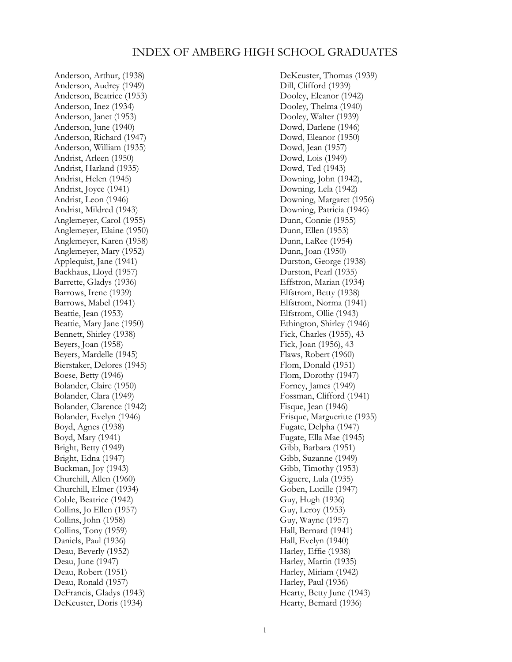## INDEX OF AMBERG HIGH SCHOOL GRADUATES

Anderson, Arthur, (1938) Anderson, Audrey (1949) Anderson, Beatrice (1953) Anderson, Inez (1934) Anderson, Janet (1953) Anderson, June (1940) Anderson, Richard (1947) Anderson, William (1935) Andrist, Arleen (1950) Andrist, Harland (1935) Andrist, Helen (1945) Andrist, Joyce (1941) Andrist, Leon (1946) Andrist, Mildred (1943) Anglemeyer, Carol (1955) Anglemeyer, Elaine (1950) Anglemeyer, Karen (1958) Anglemeyer, Mary (1952) Applequist, Jane (1941) Backhaus, Lloyd (1957) Barrette, Gladys (1936) Barrows, Irene (1939) Barrows, Mabel (1941) Beattie, Jean (1953) Beattie, Mary Jane (1950) Bennett, Shirley (1938) Beyers, Joan (1958) Beyers, Mardelle (1945) Bierstaker, Delores (1945) Boese, Betty (1946) Bolander, Claire (1950) Bolander, Clara (1949) Bolander, Clarence (1942) Bolander, Evelyn (1946) Boyd, Agnes (1938) Boyd, Mary (1941) Bright, Betty (1949) Bright, Edna (1947) Buckman, Joy (1943) Churchill, Allen (1960) Churchill, Elmer (1934) Coble, Beatrice (1942) Collins, Jo Ellen (1957) Collins, John (1958) Collins, Tony (1959) Daniels, Paul (1936) Deau, Beverly (1952) Deau, June (1947) Deau, Robert (1951) Deau, Ronald (1957) DeFrancis, Gladys (1943) DeKeuster, Doris (1934)

DeKeuster, Thomas (1939) Dill, Clifford (1939) Dooley, Eleanor (1942) Dooley, Thelma (1940) Dooley, Walter (1939) Dowd, Darlene (1946) Dowd, Eleanor (1950) Dowd, Jean (1957) Dowd, Lois (1949) Dowd, Ted (1943) Downing, John (1942), Downing, Lela (1942) Downing, Margaret (1956) Downing, Patricia (1946) Dunn, Connie (1955) Dunn, Ellen (1953) Dunn, LaRee (1954) Dunn, Joan (1950) Durston, George (1938) Durston, Pearl (1935) Effstron, Marian (1934) Elfstrom, Betty (1938) Elfstrom, Norma (1941) Elfstrom, Ollie (1943) Ethington, Shirley (1946) Fick, Charles (1955), 43 Fick, Joan (1956), 43 Flaws, Robert (1960) Flom, Donald (1951) Flom, Dorothy (1947) Forney, James (1949) Fossman, Clifford (1941) Fisque, Jean (1946) Frisque, Margueritte (1935) Fugate, Delpha (1947) Fugate, Ella Mae (1945) Gibb, Barbara (1951) Gibb, Suzanne (1949) Gibb, Timothy (1953) Giguere, Lula (1935) Goben, Lucille (1947) Guy, Hugh (1936) Guy, Leroy (1953) Guy, Wayne (1957) Hall, Bernard (1941) Hall, Evelyn (1940) Harley, Effie (1938) Harley, Martin (1935) Harley, Miriam (1942) Harley, Paul (1936) Hearty, Betty June (1943) Hearty, Bernard (1936)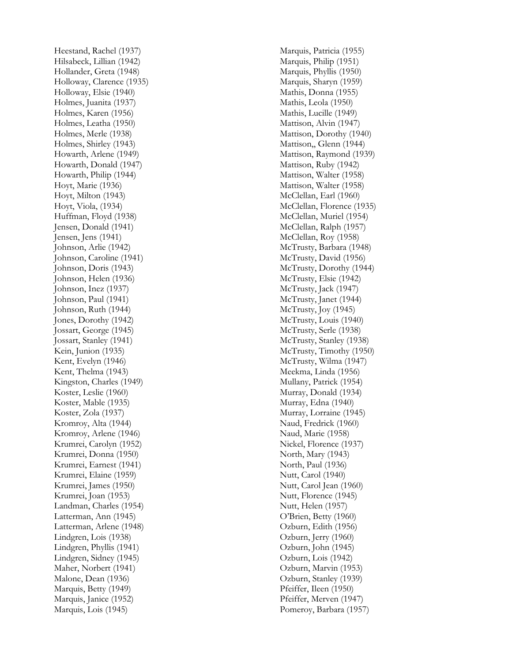Heestand, Rachel (1937) Hilsabeck, Lillian (1942) Hollander, Greta (1948) Holloway, Clarence (1935) Holloway, Elsie (1940) Holmes, Juanita (1937) Holmes, Karen (1956) Holmes, Leatha (1950) Holmes, Merle (1938 ) Holmes, Shirley (1943) Howarth, Arlene (1949) Howarth, Donald (1947 ) Howarth, Philip (1944) Hoyt, Marie (1936) Hoyt, Milton (1943) Hoyt, Viola, (1934) Huffman, Floyd (1938) Jensen, Donald (1941) Jensen, Jens (1941) Johnson, Arlie (1942) Johnson, Caroline (1941) Johnson, Doris (1943 ) Johnson, Helen (1936 ) Johnson, Inez (1937) Johnson, Paul (1941) Johnson, Ruth (1944) Jones, Dorothy (1942) Jossart, George (1945) Jossart, Stanley (1941) Kein, Junion (1935) Kent, Evelyn (1946) Kent, Thelma (1943) Kingston, Charles (1949) Koster, Leslie (1960) Koster, Mable (1935) Koster, Zola (1937) Kromroy, Alta (1944) Kromroy, Arlene (1946) Krumrei, Carolyn (1952) Krumrei, Donna (1950) Krumrei, Earnest (1941 ) Krumrei, Elaine (1959) Krumrei, James (1950) Krumrei, Joan (1953) Landman, Charles (1954) Latterman, Ann (1945) Latterman, Arlene (1948) Lindgren, Lois (1938) Lindgren, Phyllis (1941) Lindgren, Sidney (1945) Maher, Norbert (1941) Malone, Dean (1936 ) Marquis, Betty (1949) Marquis, Janice (1952) Marquis, Lois (1945)

Marquis, Patricia (1955) Marquis, Philip (1951) Marquis, Phyllis (1950) Marquis, Sharyn (1959) Mathis, Donna (1955) Mathis, Leola (1950) Mathis, Lucille (1949) Mattison, Alvin (1947) Mattison, Dorothy (1940) Mattison,, Glenn (1944) Mattison, Raymond (1939) Mattison, Ruby (1942) Mattison, Walter (1958) Mattison, Walter (1958) McClellan, Earl (1960) McClellan, Florence (1935) McClellan, Muriel (1954) McClellan, Ralph (1957) McClellan, Roy (1958) McTrusty, Barbara (1948) McTrusty, David (1956) McTrusty, Dorothy (1944) McTrusty, Elsie (1942) McTrusty, Jack (1947) McTrusty, Janet (1944) McTrusty, Joy (1945) McTrusty, Louis (1940) McTrusty, Serle (1938) McTrusty, Stanley (1938) McTrusty, Timothy (1950) McTrusty, Wilma (1947) Meekma, Linda (1956) Mullany, Patrick (1954) Murray, Donald (1934) Murray, Edna (1940) Murray, Lorraine (1945) Naud, Fredrick (1960) Naud, Marie (1958) Nickel, Florence (1937) North, Mary (1943) North, Paul (1936) Nutt, Carol (1940) Nutt, Carol Jean (1960) Nutt, Florence (1945) Nutt, Helen (1957) O'Brien, Betty (1960) Ozburn, Edith (1956) Ozburn, Jerry (1960) Ozburn, John (1945) Ozburn, Lois (1942) Ozburn, Marvin (1953) Ozburn, Stanley (1939) Pfeiffer, Ileen (1950) Pfeiffer, Merven (1947) Pomeroy, Barbara (1957)